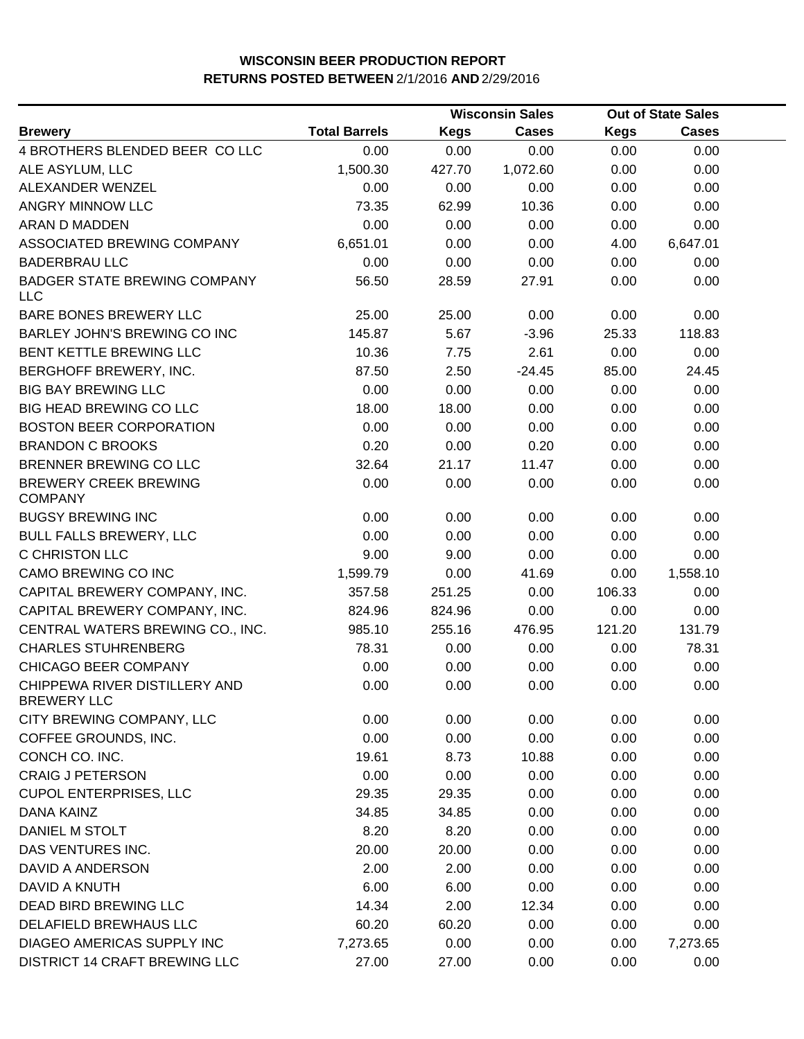|                                                     |                      | <b>Wisconsin Sales</b> |              | <b>Out of State Sales</b> |              |  |
|-----------------------------------------------------|----------------------|------------------------|--------------|---------------------------|--------------|--|
| <b>Brewery</b>                                      | <b>Total Barrels</b> | <b>Kegs</b>            | <b>Cases</b> | <b>Kegs</b>               | <b>Cases</b> |  |
| 4 BROTHERS BLENDED BEER CO LLC                      | 0.00                 | 0.00                   | 0.00         | 0.00                      | 0.00         |  |
| ALE ASYLUM, LLC                                     | 1,500.30             | 427.70                 | 1,072.60     | 0.00                      | 0.00         |  |
| ALEXANDER WENZEL                                    | 0.00                 | 0.00                   | 0.00         | 0.00                      | 0.00         |  |
| ANGRY MINNOW LLC                                    | 73.35                | 62.99                  | 10.36        | 0.00                      | 0.00         |  |
| <b>ARAN D MADDEN</b>                                | 0.00                 | 0.00                   | 0.00         | 0.00                      | 0.00         |  |
| ASSOCIATED BREWING COMPANY                          | 6,651.01             | 0.00                   | 0.00         | 4.00                      | 6,647.01     |  |
| <b>BADERBRAU LLC</b>                                | 0.00                 | 0.00                   | 0.00         | 0.00                      | 0.00         |  |
| <b>BADGER STATE BREWING COMPANY</b><br><b>LLC</b>   | 56.50                | 28.59                  | 27.91        | 0.00                      | 0.00         |  |
| BARE BONES BREWERY LLC                              | 25.00                | 25.00                  | 0.00         | 0.00                      | 0.00         |  |
| BARLEY JOHN'S BREWING CO INC                        | 145.87               | 5.67                   | $-3.96$      | 25.33                     | 118.83       |  |
| BENT KETTLE BREWING LLC                             | 10.36                | 7.75                   | 2.61         | 0.00                      | 0.00         |  |
| BERGHOFF BREWERY, INC.                              | 87.50                | 2.50                   | $-24.45$     | 85.00                     | 24.45        |  |
| <b>BIG BAY BREWING LLC</b>                          | 0.00                 | 0.00                   | 0.00         | 0.00                      | 0.00         |  |
| <b>BIG HEAD BREWING CO LLC</b>                      | 18.00                | 18.00                  | 0.00         | 0.00                      | 0.00         |  |
| <b>BOSTON BEER CORPORATION</b>                      | 0.00                 | 0.00                   | 0.00         | 0.00                      | 0.00         |  |
| <b>BRANDON C BROOKS</b>                             | 0.20                 | 0.00                   | 0.20         | 0.00                      | 0.00         |  |
| BRENNER BREWING CO LLC                              | 32.64                | 21.17                  | 11.47        | 0.00                      | 0.00         |  |
| <b>BREWERY CREEK BREWING</b><br><b>COMPANY</b>      | 0.00                 | 0.00                   | 0.00         | 0.00                      | 0.00         |  |
| <b>BUGSY BREWING INC</b>                            | 0.00                 | 0.00                   | 0.00         | 0.00                      | 0.00         |  |
| <b>BULL FALLS BREWERY, LLC</b>                      | 0.00                 | 0.00                   | 0.00         | 0.00                      | 0.00         |  |
| C CHRISTON LLC                                      | 9.00                 | 9.00                   | 0.00         | 0.00                      | 0.00         |  |
| CAMO BREWING CO INC                                 | 1,599.79             | 0.00                   | 41.69        | 0.00                      | 1,558.10     |  |
| CAPITAL BREWERY COMPANY, INC.                       | 357.58               | 251.25                 | 0.00         | 106.33                    | 0.00         |  |
| CAPITAL BREWERY COMPANY, INC.                       | 824.96               | 824.96                 | 0.00         | 0.00                      | 0.00         |  |
| CENTRAL WATERS BREWING CO., INC.                    | 985.10               | 255.16                 | 476.95       | 121.20                    | 131.79       |  |
| <b>CHARLES STUHRENBERG</b>                          | 78.31                | 0.00                   | 0.00         | 0.00                      | 78.31        |  |
| CHICAGO BEER COMPANY                                | 0.00                 | 0.00                   | 0.00         | 0.00                      | 0.00         |  |
| CHIPPEWA RIVER DISTILLERY AND<br><b>BREWERY LLC</b> | 0.00                 | 0.00                   | 0.00         | 0.00                      | 0.00         |  |
| CITY BREWING COMPANY, LLC                           | 0.00                 | 0.00                   | 0.00         | 0.00                      | 0.00         |  |
| COFFEE GROUNDS, INC.                                | 0.00                 | 0.00                   | 0.00         | 0.00                      | 0.00         |  |
| CONCH CO. INC.                                      | 19.61                | 8.73                   | 10.88        | 0.00                      | 0.00         |  |
| <b>CRAIG J PETERSON</b>                             | 0.00                 | 0.00                   | 0.00         | 0.00                      | 0.00         |  |
| <b>CUPOL ENTERPRISES, LLC</b>                       | 29.35                | 29.35                  | 0.00         | 0.00                      | 0.00         |  |
| DANA KAINZ                                          | 34.85                | 34.85                  | 0.00         | 0.00                      | 0.00         |  |
| DANIEL M STOLT                                      | 8.20                 | 8.20                   | 0.00         | 0.00                      | 0.00         |  |
| DAS VENTURES INC.                                   | 20.00                | 20.00                  | 0.00         | 0.00                      | 0.00         |  |
| DAVID A ANDERSON                                    | 2.00                 | 2.00                   | 0.00         | 0.00                      | 0.00         |  |
| DAVID A KNUTH                                       | 6.00                 | 6.00                   | 0.00         | 0.00                      | 0.00         |  |
| DEAD BIRD BREWING LLC                               | 14.34                | 2.00                   | 12.34        | 0.00                      | 0.00         |  |
| DELAFIELD BREWHAUS LLC                              | 60.20                | 60.20                  | 0.00         | 0.00                      | 0.00         |  |
| DIAGEO AMERICAS SUPPLY INC                          | 7,273.65             | 0.00                   | 0.00         | 0.00                      | 7,273.65     |  |
| DISTRICT 14 CRAFT BREWING LLC                       | 27.00                | 27.00                  | 0.00         | 0.00                      | 0.00         |  |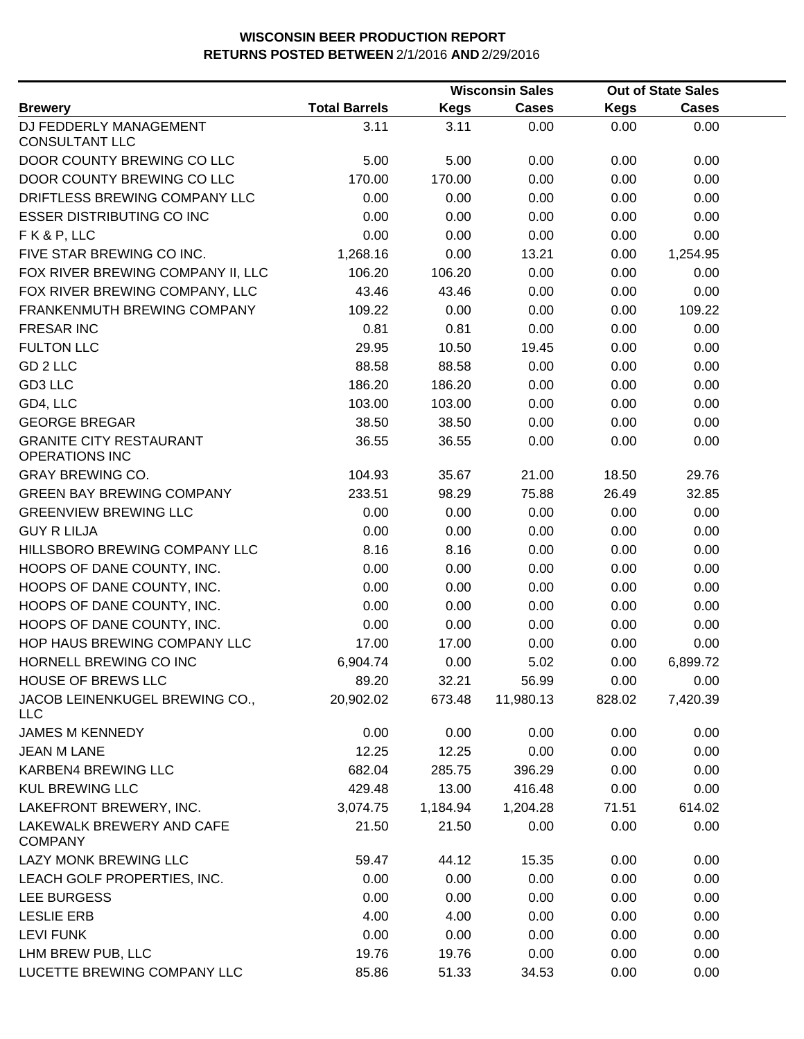|                                                         |                      |             | <b>Wisconsin Sales</b> |             | <b>Out of State Sales</b> |  |
|---------------------------------------------------------|----------------------|-------------|------------------------|-------------|---------------------------|--|
| <b>Brewery</b>                                          | <b>Total Barrels</b> | <b>Kegs</b> | <b>Cases</b>           | <b>Kegs</b> | <b>Cases</b>              |  |
| DJ FEDDERLY MANAGEMENT<br><b>CONSULTANT LLC</b>         | 3.11                 | 3.11        | 0.00                   | 0.00        | 0.00                      |  |
| DOOR COUNTY BREWING CO LLC                              | 5.00                 | 5.00        | 0.00                   | 0.00        | 0.00                      |  |
| DOOR COUNTY BREWING CO LLC                              | 170.00               | 170.00      | 0.00                   | 0.00        | 0.00                      |  |
| DRIFTLESS BREWING COMPANY LLC                           | 0.00                 | 0.00        | 0.00                   | 0.00        | 0.00                      |  |
| <b>ESSER DISTRIBUTING CO INC</b>                        | 0.00                 | 0.00        | 0.00                   | 0.00        | 0.00                      |  |
| FK&P, LLC                                               | 0.00                 | 0.00        | 0.00                   | 0.00        | 0.00                      |  |
| FIVE STAR BREWING CO INC.                               | 1,268.16             | 0.00        | 13.21                  | 0.00        | 1,254.95                  |  |
| FOX RIVER BREWING COMPANY II, LLC                       | 106.20               | 106.20      | 0.00                   | 0.00        | 0.00                      |  |
| FOX RIVER BREWING COMPANY, LLC                          | 43.46                | 43.46       | 0.00                   | 0.00        | 0.00                      |  |
| FRANKENMUTH BREWING COMPANY                             | 109.22               | 0.00        | 0.00                   | 0.00        | 109.22                    |  |
| <b>FRESAR INC</b>                                       | 0.81                 | 0.81        | 0.00                   | 0.00        | 0.00                      |  |
| <b>FULTON LLC</b>                                       | 29.95                | 10.50       | 19.45                  | 0.00        | 0.00                      |  |
| GD <sub>2</sub> LLC                                     | 88.58                | 88.58       | 0.00                   | 0.00        | 0.00                      |  |
| GD3 LLC                                                 | 186.20               | 186.20      | 0.00                   | 0.00        | 0.00                      |  |
| GD4, LLC                                                | 103.00               | 103.00      | 0.00                   | 0.00        | 0.00                      |  |
| <b>GEORGE BREGAR</b>                                    | 38.50                | 38.50       | 0.00                   | 0.00        | 0.00                      |  |
| <b>GRANITE CITY RESTAURANT</b><br><b>OPERATIONS INC</b> | 36.55                | 36.55       | 0.00                   | 0.00        | 0.00                      |  |
| <b>GRAY BREWING CO.</b>                                 | 104.93               | 35.67       | 21.00                  | 18.50       | 29.76                     |  |
| <b>GREEN BAY BREWING COMPANY</b>                        | 233.51               | 98.29       | 75.88                  | 26.49       | 32.85                     |  |
| <b>GREENVIEW BREWING LLC</b>                            | 0.00                 | 0.00        | 0.00                   | 0.00        | 0.00                      |  |
| <b>GUY R LILJA</b>                                      | 0.00                 | 0.00        | 0.00                   | 0.00        | 0.00                      |  |
| HILLSBORO BREWING COMPANY LLC                           | 8.16                 | 8.16        | 0.00                   | 0.00        | 0.00                      |  |
| HOOPS OF DANE COUNTY, INC.                              | 0.00                 | 0.00        | 0.00                   | 0.00        | 0.00                      |  |
| HOOPS OF DANE COUNTY, INC.                              | 0.00                 | 0.00        | 0.00                   | 0.00        | 0.00                      |  |
| HOOPS OF DANE COUNTY, INC.                              | 0.00                 | 0.00        | 0.00                   | 0.00        | 0.00                      |  |
| HOOPS OF DANE COUNTY, INC.                              | 0.00                 | 0.00        | 0.00                   | 0.00        | 0.00                      |  |
| HOP HAUS BREWING COMPANY LLC                            | 17.00                | 17.00       | 0.00                   | 0.00        | 0.00                      |  |
| HORNELL BREWING CO INC                                  | 6,904.74             | 0.00        | 5.02                   | 0.00        | 6,899.72                  |  |
| <b>HOUSE OF BREWS LLC</b>                               | 89.20                | 32.21       | 56.99                  | 0.00        | 0.00                      |  |
| JACOB LEINENKUGEL BREWING CO.,<br><b>LLC</b>            | 20,902.02            | 673.48      | 11,980.13              | 828.02      | 7,420.39                  |  |
| <b>JAMES M KENNEDY</b>                                  | 0.00                 | 0.00        | 0.00                   | 0.00        | 0.00                      |  |
| <b>JEAN M LANE</b>                                      | 12.25                | 12.25       | 0.00                   | 0.00        | 0.00                      |  |
| KARBEN4 BREWING LLC                                     | 682.04               | 285.75      | 396.29                 | 0.00        | 0.00                      |  |
| <b>KUL BREWING LLC</b>                                  | 429.48               | 13.00       | 416.48                 | 0.00        | 0.00                      |  |
| LAKEFRONT BREWERY, INC.                                 | 3,074.75             | 1,184.94    | 1,204.28               | 71.51       | 614.02                    |  |
| LAKEWALK BREWERY AND CAFE<br><b>COMPANY</b>             | 21.50                | 21.50       | 0.00                   | 0.00        | 0.00                      |  |
| LAZY MONK BREWING LLC                                   | 59.47                | 44.12       | 15.35                  | 0.00        | 0.00                      |  |
| LEACH GOLF PROPERTIES, INC.                             | 0.00                 | 0.00        | 0.00                   | 0.00        | 0.00                      |  |
| LEE BURGESS                                             | 0.00                 | 0.00        | 0.00                   | 0.00        | 0.00                      |  |
| <b>LESLIE ERB</b>                                       | 4.00                 | 4.00        | 0.00                   | 0.00        | 0.00                      |  |
| <b>LEVI FUNK</b>                                        | 0.00                 | 0.00        | 0.00                   | 0.00        | 0.00                      |  |
| LHM BREW PUB, LLC                                       | 19.76                | 19.76       | 0.00                   | 0.00        | 0.00                      |  |
| LUCETTE BREWING COMPANY LLC                             | 85.86                | 51.33       | 34.53                  | 0.00        | 0.00                      |  |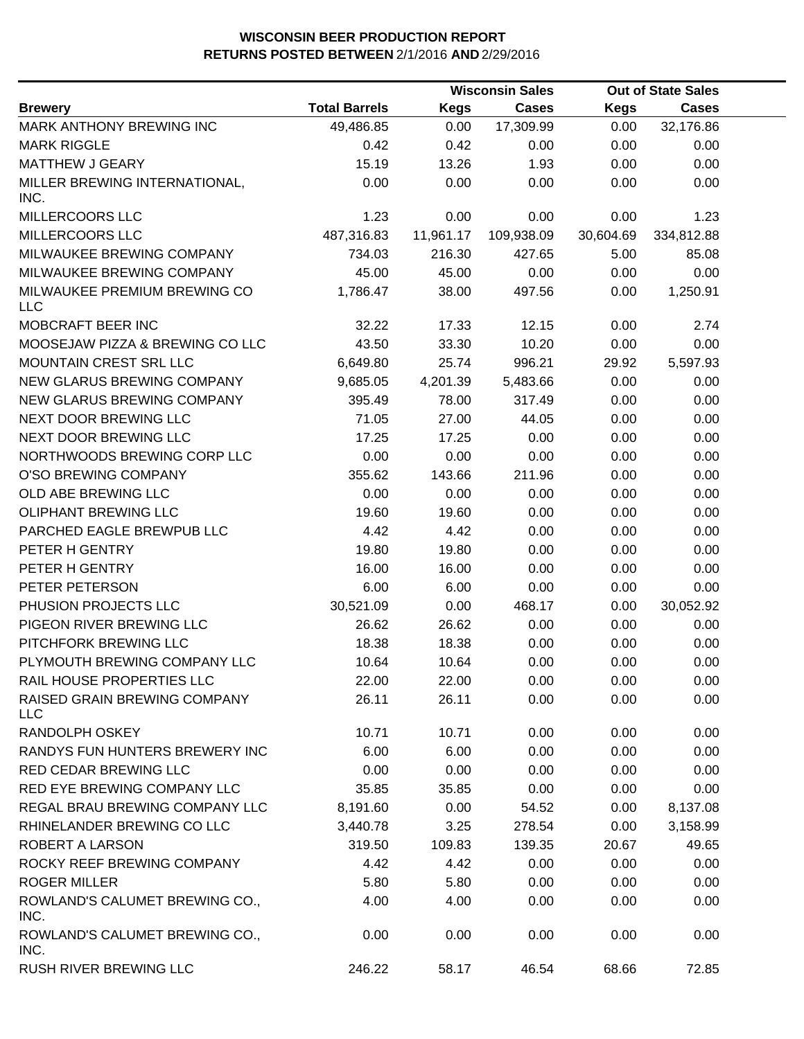|                                            |                      |             | <b>Wisconsin Sales</b> |             | <b>Out of State Sales</b> |  |
|--------------------------------------------|----------------------|-------------|------------------------|-------------|---------------------------|--|
| <b>Brewery</b>                             | <b>Total Barrels</b> | <b>Kegs</b> | <b>Cases</b>           | <b>Kegs</b> | <b>Cases</b>              |  |
| MARK ANTHONY BREWING INC                   | 49,486.85            | 0.00        | 17,309.99              | 0.00        | 32,176.86                 |  |
| <b>MARK RIGGLE</b>                         | 0.42                 | 0.42        | 0.00                   | 0.00        | 0.00                      |  |
| <b>MATTHEW J GEARY</b>                     | 15.19                | 13.26       | 1.93                   | 0.00        | 0.00                      |  |
| MILLER BREWING INTERNATIONAL,<br>INC.      | 0.00                 | 0.00        | 0.00                   | 0.00        | 0.00                      |  |
| MILLERCOORS LLC                            | 1.23                 | 0.00        | 0.00                   | 0.00        | 1.23                      |  |
| MILLERCOORS LLC                            | 487,316.83           | 11,961.17   | 109,938.09             | 30,604.69   | 334,812.88                |  |
| MILWAUKEE BREWING COMPANY                  | 734.03               | 216.30      | 427.65                 | 5.00        | 85.08                     |  |
| MILWAUKEE BREWING COMPANY                  | 45.00                | 45.00       | 0.00                   | 0.00        | 0.00                      |  |
| MILWAUKEE PREMIUM BREWING CO<br><b>LLC</b> | 1,786.47             | 38.00       | 497.56                 | 0.00        | 1,250.91                  |  |
| MOBCRAFT BEER INC                          | 32.22                | 17.33       | 12.15                  | 0.00        | 2.74                      |  |
| MOOSEJAW PIZZA & BREWING CO LLC            | 43.50                | 33.30       | 10.20                  | 0.00        | 0.00                      |  |
| MOUNTAIN CREST SRL LLC                     | 6,649.80             | 25.74       | 996.21                 | 29.92       | 5,597.93                  |  |
| NEW GLARUS BREWING COMPANY                 | 9,685.05             | 4,201.39    | 5,483.66               | 0.00        | 0.00                      |  |
| NEW GLARUS BREWING COMPANY                 | 395.49               | 78.00       | 317.49                 | 0.00        | 0.00                      |  |
| NEXT DOOR BREWING LLC                      | 71.05                | 27.00       | 44.05                  | 0.00        | 0.00                      |  |
| NEXT DOOR BREWING LLC                      | 17.25                | 17.25       | 0.00                   | 0.00        | 0.00                      |  |
| NORTHWOODS BREWING CORP LLC                | 0.00                 | 0.00        | 0.00                   | 0.00        | 0.00                      |  |
| O'SO BREWING COMPANY                       | 355.62               | 143.66      | 211.96                 | 0.00        | 0.00                      |  |
| OLD ABE BREWING LLC                        | 0.00                 | 0.00        | 0.00                   | 0.00        | 0.00                      |  |
| <b>OLIPHANT BREWING LLC</b>                | 19.60                | 19.60       | 0.00                   | 0.00        | 0.00                      |  |
| PARCHED EAGLE BREWPUB LLC                  | 4.42                 | 4.42        | 0.00                   | 0.00        | 0.00                      |  |
| PETER H GENTRY                             | 19.80                | 19.80       | 0.00                   | 0.00        | 0.00                      |  |
| PETER H GENTRY                             | 16.00                | 16.00       | 0.00                   | 0.00        | 0.00                      |  |
| PETER PETERSON                             | 6.00                 | 6.00        | 0.00                   | 0.00        | 0.00                      |  |
| PHUSION PROJECTS LLC                       | 30,521.09            | 0.00        | 468.17                 | 0.00        | 30,052.92                 |  |
| PIGEON RIVER BREWING LLC                   | 26.62                | 26.62       | 0.00                   | 0.00        | 0.00                      |  |
| PITCHFORK BREWING LLC                      | 18.38                | 18.38       | 0.00                   | 0.00        | 0.00                      |  |
| PLYMOUTH BREWING COMPANY LLC               | 10.64                | 10.64       | 0.00                   | 0.00        | 0.00                      |  |
| RAIL HOUSE PROPERTIES LLC                  | 22.00                | 22.00       | 0.00                   | 0.00        | 0.00                      |  |
| RAISED GRAIN BREWING COMPANY<br><b>LLC</b> | 26.11                | 26.11       | 0.00                   | 0.00        | 0.00                      |  |
| RANDOLPH OSKEY                             | 10.71                | 10.71       | 0.00                   | 0.00        | 0.00                      |  |
| RANDYS FUN HUNTERS BREWERY INC             | 6.00                 | 6.00        | 0.00                   | 0.00        | 0.00                      |  |
| RED CEDAR BREWING LLC                      | 0.00                 | 0.00        | 0.00                   | 0.00        | 0.00                      |  |
| RED EYE BREWING COMPANY LLC                | 35.85                | 35.85       | 0.00                   | 0.00        | 0.00                      |  |
| REGAL BRAU BREWING COMPANY LLC             | 8,191.60             | 0.00        | 54.52                  | 0.00        | 8,137.08                  |  |
| RHINELANDER BREWING CO LLC                 | 3,440.78             | 3.25        | 278.54                 | 0.00        | 3,158.99                  |  |
| ROBERT A LARSON                            | 319.50               | 109.83      | 139.35                 | 20.67       | 49.65                     |  |
| ROCKY REEF BREWING COMPANY                 | 4.42                 | 4.42        | 0.00                   | 0.00        | 0.00                      |  |
| <b>ROGER MILLER</b>                        | 5.80                 | 5.80        | 0.00                   | 0.00        | 0.00                      |  |
| ROWLAND'S CALUMET BREWING CO.,<br>INC.     | 4.00                 | 4.00        | 0.00                   | 0.00        | 0.00                      |  |
| ROWLAND'S CALUMET BREWING CO.,<br>INC.     | 0.00                 | 0.00        | 0.00                   | 0.00        | 0.00                      |  |
| RUSH RIVER BREWING LLC                     | 246.22               | 58.17       | 46.54                  | 68.66       | 72.85                     |  |